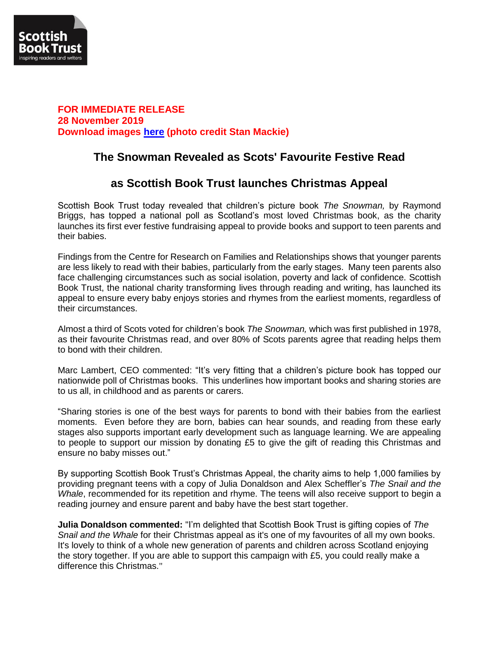

### **FOR IMMEDIATE RELEASE 28 November 2019 Download images [here](https://we.tl/t-0VFhZFS2Rp) (photo credit Stan Mackie)**

# **The Snowman Revealed as Scots' Favourite Festive Read**

## **as Scottish Book Trust launches Christmas Appeal**

Scottish Book Trust today revealed that children's picture book *The Snowman,* by Raymond Briggs, has topped a national poll as Scotland's most loved Christmas book, as the charity launches its first ever festive fundraising appeal to provide books and support to teen parents and their babies.

Findings from the Centre for Research on Families and Relationships shows that younger parents are less likely to read with their babies, particularly from the early stages. Many teen parents also face challenging circumstances such as social isolation, poverty and lack of confidence. Scottish Book Trust, the national charity transforming lives through reading and writing, has launched its appeal to ensure every baby enjoys stories and rhymes from the earliest moments, regardless of their circumstances.

Almost a third of Scots voted for children's book *The Snowman,* which was first published in 1978, as their favourite Christmas read, and over 80% of Scots parents agree that reading helps them to bond with their children.

Marc Lambert, CEO commented: "It's very fitting that a children's picture book has topped our nationwide poll of Christmas books. This underlines how important books and sharing stories are to us all, in childhood and as parents or carers.

"Sharing stories is one of the best ways for parents to bond with their babies from the earliest moments. Even before they are born, babies can hear sounds, and reading from these early stages also supports important early development such as language learning. We are appealing to people to support our mission by donating £5 to give the gift of reading this Christmas and ensure no baby misses out."

By supporting Scottish Book Trust's Christmas Appeal, the charity aims to help 1,000 families by providing pregnant teens with a copy of Julia Donaldson and Alex Scheffler's *The Snail and the Whale*, recommended for its repetition and rhyme. The teens will also receive support to begin a reading journey and ensure parent and baby have the best start together.

**Julia Donaldson commented:** "I'm delighted that Scottish Book Trust is gifting copies of *The Snail and the Whale* for their Christmas appeal as it's one of my favourites of all my own books. It's lovely to think of a whole new generation of parents and children across Scotland enjoying the story together. If you are able to support this campaign with £5, you could really make a difference this Christmas."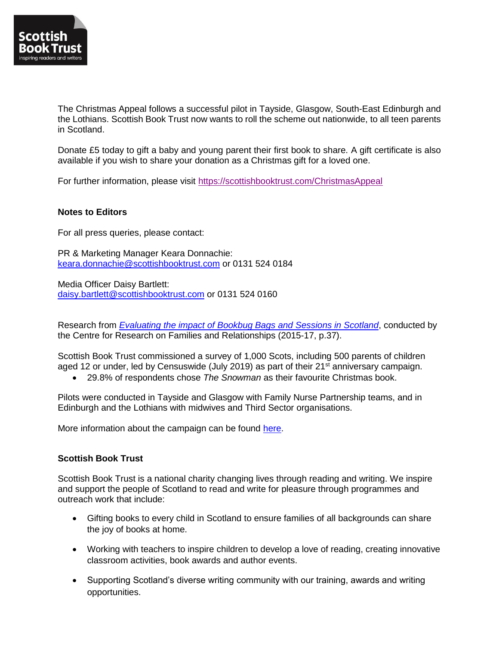

The Christmas Appeal follows a successful pilot in Tayside, Glasgow, South-East Edinburgh and the Lothians. Scottish Book Trust now wants to roll the scheme out nationwide, to all teen parents in Scotland.

Donate £5 today to gift a baby and young parent their first book to share. A gift certificate is also available if you wish to share your donation as a Christmas gift for a loved one.

For further information, please visit<https://scottishbooktrust.com/ChristmasAppeal>

### **Notes to Editors**

For all press queries, please contact:

PR & Marketing Manager Keara Donnachie: [keara.donnachie@scottishbooktrust.com](mailto:keara.donnachie@scottishbooktrust.com) or 0131 524 0184

Media Officer Daisy Bartlett: [daisy.bartlett@scottishbooktrust.com](mailto:daisy.bartlett@scottishbooktrust.com) or 0131 524 0160

Research from *[Evaluating the impact of Bookbug Bags and Sessions in Scotland](https://www.scottishbooktrust.com/reading-and-stories/bookbug/bookbug-evaluation)*, conducted by the Centre for Research on Families and Relationships (2015-17, p.37).

Scottish Book Trust commissioned a survey of 1,000 Scots, including 500 parents of children aged 12 or under, led by Censuswide (July 2019) as part of their 21<sup>st</sup> anniversary campaign.

29.8% of respondents chose *The Snowman* as their favourite Christmas book.

Pilots were conducted in Tayside and Glasgow with Family Nurse Partnership teams, and in Edinburgh and the Lothians with midwives and Third Sector organisations.

More information about the campaign can be found [here.](https://www.dropbox.com/sh/mqr3h0tk5871rku/AAD8zxSCNYsQriCH1TSLqhx0a?dl=0)

### **Scottish Book Trust**

Scottish Book Trust is a national charity changing lives through reading and writing. We inspire and support the people of Scotland to read and write for pleasure through programmes and outreach work that include:

- Gifting books to every child in Scotland to ensure families of all backgrounds can share the joy of books at home.
- Working with teachers to inspire children to develop a love of reading, creating innovative classroom activities, book awards and author events.
- Supporting Scotland's diverse writing community with our training, awards and writing opportunities.